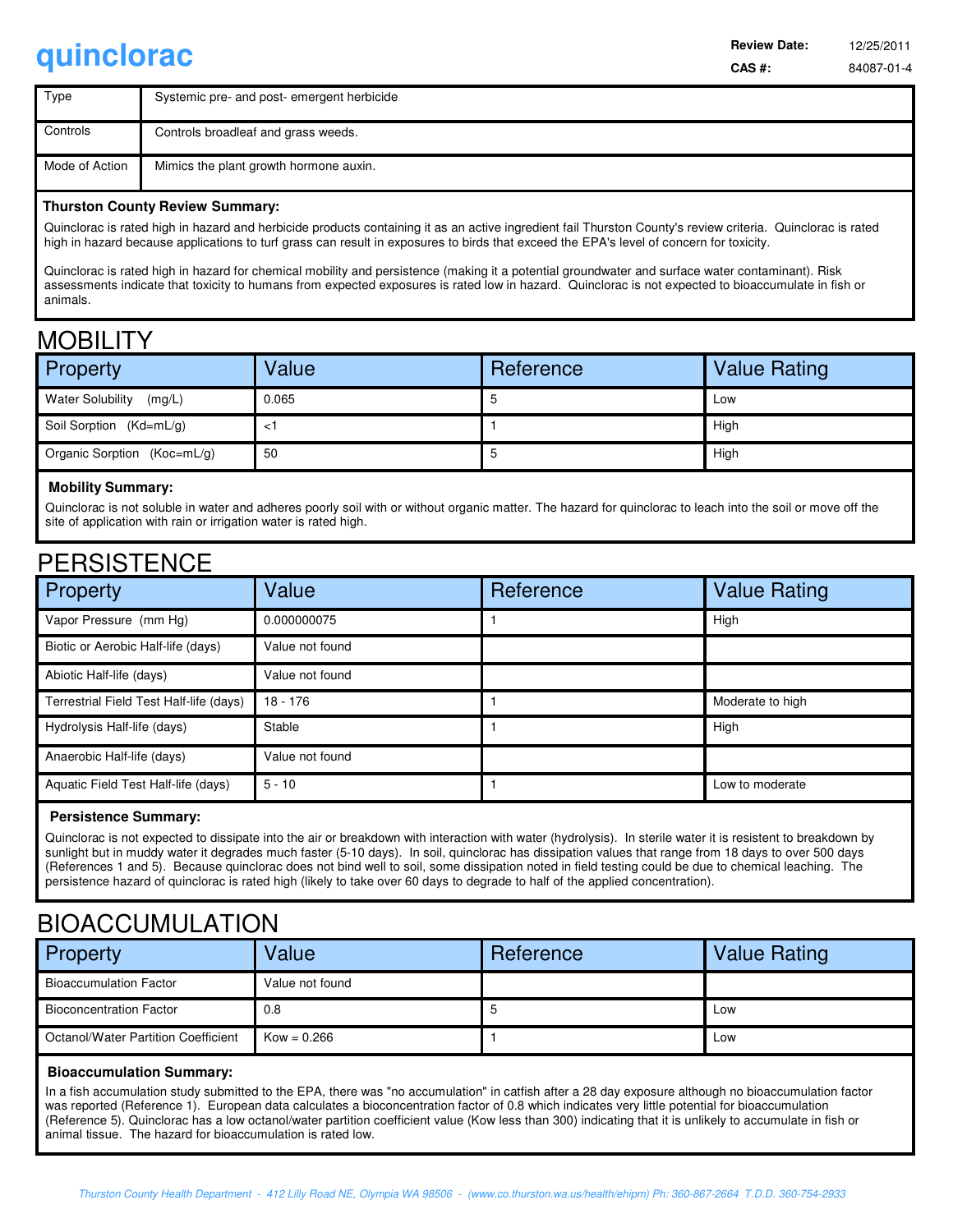**quinclorac CAS #:** 84087-01-4 **Review Date:** 

| Type           | Systemic pre- and post- emergent herbicide |
|----------------|--------------------------------------------|
| Controls       | Controls broadleaf and grass weeds.        |
| Mode of Action | Mimics the plant growth hormone auxin.     |

### **Thurston County Review Summary:**

Quinclorac is rated high in hazard and herbicide products containing it as an active ingredient fail Thurston County's review criteria. Quinclorac is rated high in hazard because applications to turf grass can result in exposures to birds that exceed the EPA's level of concern for toxicity.

Quinclorac is rated high in hazard for chemical mobility and persistence (making it a potential groundwater and surface water contaminant). Risk assessments indicate that toxicity to humans from expected exposures is rated low in hazard. Quinclorac is not expected to bioaccumulate in fish or animals.

### **MOBILITY**

| <b>Property</b>                   | Value | Reference | <b>Value Rating</b> |
|-----------------------------------|-------|-----------|---------------------|
| <b>Water Solubility</b><br>(mg/L) | 0.065 |           | Low                 |
| Soil Sorption (Kd=mL/g)           |       |           | High                |
| Organic Sorption (Koc=mL/g)       | 50    |           | High                |

### **Mobility Summary:**

Quinclorac is not soluble in water and adheres poorly soil with or without organic matter. The hazard for quinclorac to leach into the soil or move off the site of application with rain or irrigation water is rated high.

### **PERSISTENCE**

| Property                                | Value           | Reference | <b>Value Rating</b> |
|-----------------------------------------|-----------------|-----------|---------------------|
| Vapor Pressure (mm Hg)                  | 0.000000075     |           | High                |
| Biotic or Aerobic Half-life (days)      | Value not found |           |                     |
| Abiotic Half-life (days)                | Value not found |           |                     |
| Terrestrial Field Test Half-life (days) | $18 - 176$      |           | Moderate to high    |
| Hydrolysis Half-life (days)             | Stable          |           | High                |
| Anaerobic Half-life (days)              | Value not found |           |                     |
| Aquatic Field Test Half-life (days)     | $5 - 10$        |           | Low to moderate     |

### **Persistence Summary:**

Quinclorac is not expected to dissipate into the air or breakdown with interaction with water (hydrolysis). In sterile water it is resistent to breakdown by sunlight but in muddy water it degrades much faster (5-10 days). In soil, quinclorac has dissipation values that range from 18 days to over 500 days (References 1 and 5). Because quinclorac does not bind well to soil, some dissipation noted in field testing could be due to chemical leaching. The persistence hazard of quinclorac is rated high (likely to take over 60 days to degrade to half of the applied concentration).

### BIOACCUMULATION

| <b>Property</b>                     | Value           | Reference | <b>Value Rating</b> |
|-------------------------------------|-----------------|-----------|---------------------|
| <b>Bioaccumulation Factor</b>       | Value not found |           |                     |
| <b>Bioconcentration Factor</b>      | 0.8             |           | Low                 |
| Octanol/Water Partition Coefficient | $Kow = 0.266$   |           | Low                 |

#### **Bioaccumulation Summary:**

In a fish accumulation study submitted to the EPA, there was "no accumulation" in catfish after a 28 day exposure although no bioaccumulation factor was reported (Reference 1). European data calculates a bioconcentration factor of 0.8 which indicates very little potential for bioaccumulation (Reference 5). Quinclorac has a low octanol/water partition coefficient value (Kow less than 300) indicating that it is unlikely to accumulate in fish or animal tissue. The hazard for bioaccumulation is rated low.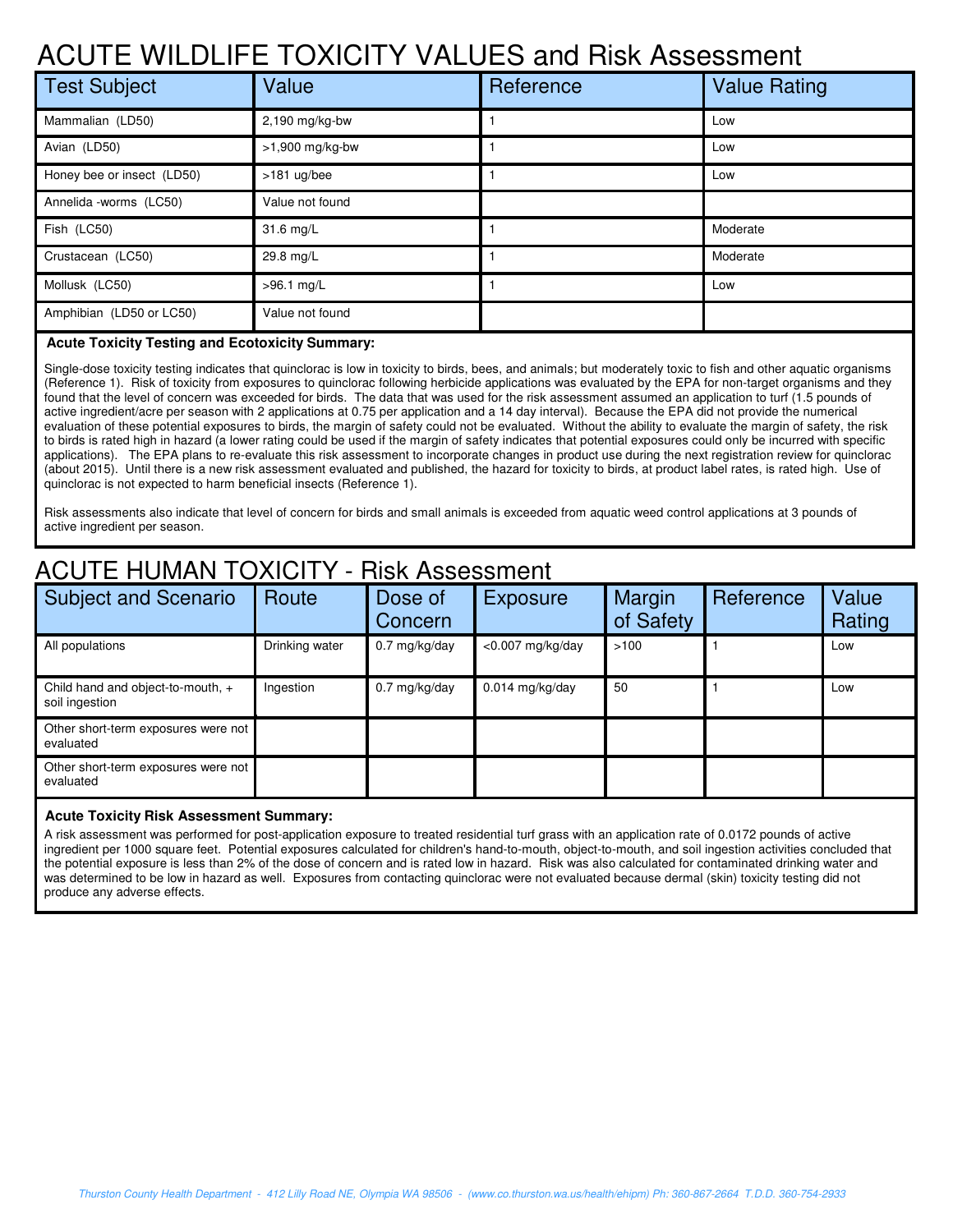# ACUTE WILDLIFE TOXICITY VALUES and Risk Assessment

| <b>Test Subject</b>        | Value           | Reference | <b>Value Rating</b> |
|----------------------------|-----------------|-----------|---------------------|
| Mammalian (LD50)           | 2,190 mg/kg-bw  |           | Low                 |
| Avian (LD50)               | >1,900 mg/kg-bw |           | Low                 |
| Honey bee or insect (LD50) | $>181$ ug/bee   |           | Low                 |
| Annelida -worms (LC50)     | Value not found |           |                     |
| Fish (LC50)                | 31.6 mg/L       |           | Moderate            |
| Crustacean (LC50)          | 29.8 mg/L       |           | Moderate            |
| Mollusk (LC50)             | >96.1 mg/L      |           | Low                 |
| Amphibian (LD50 or LC50)   | Value not found |           |                     |

### **Acute Toxicity Testing and Ecotoxicity Summary:**

Single-dose toxicity testing indicates that quinclorac is low in toxicity to birds, bees, and animals; but moderately toxic to fish and other aquatic organisms (Reference 1). Risk of toxicity from exposures to quinclorac following herbicide applications was evaluated by the EPA for non-target organisms and they found that the level of concern was exceeded for birds. The data that was used for the risk assessment assumed an application to turf (1.5 pounds of active ingredient/acre per season with 2 applications at 0.75 per application and a 14 day interval). Because the EPA did not provide the numerical evaluation of these potential exposures to birds, the margin of safety could not be evaluated. Without the ability to evaluate the margin of safety, the risk to birds is rated high in hazard (a lower rating could be used if the margin of safety indicates that potential exposures could only be incurred with specific applications). The EPA plans to re-evaluate this risk assessment to incorporate changes in product use during the next registration review for quinclorac (about 2015). Until there is a new risk assessment evaluated and published, the hazard for toxicity to birds, at product label rates, is rated high. Use of quinclorac is not expected to harm beneficial insects (Reference 1).

Risk assessments also indicate that level of concern for birds and small animals is exceeded from aquatic weed control applications at 3 pounds of active ingredient per season.

## ACUTE HUMAN TOXICITY - Risk Assessment

| <b>Subject and Scenario</b>                         | Route          | Dose of<br>Concern      | <b>Exposure</b>     | Margin<br>of Safety | Reference | Value<br>Rating |
|-----------------------------------------------------|----------------|-------------------------|---------------------|---------------------|-----------|-----------------|
| All populations                                     | Drinking water | $0.7 \text{ mg/kg/day}$ | $<$ 0.007 mg/kg/day | >100                |           | Low             |
| Child hand and object-to-mouth, +<br>soil ingestion | Ingestion      | $0.7$ mg/kg/day         | $0.014$ mg/kg/day   | 50                  |           | Low             |
| Other short-term exposures were not<br>evaluated    |                |                         |                     |                     |           |                 |
| Other short-term exposures were not<br>evaluated    |                |                         |                     |                     |           |                 |

#### **Acute Toxicity Risk Assessment Summary:**

A risk assessment was performed for post-application exposure to treated residential turf grass with an application rate of 0.0172 pounds of active ingredient per 1000 square feet. Potential exposures calculated for children's hand-to-mouth, object-to-mouth, and soil ingestion activities concluded that the potential exposure is less than 2% of the dose of concern and is rated low in hazard. Risk was also calculated for contaminated drinking water and was determined to be low in hazard as well. Exposures from contacting quinclorac were not evaluated because dermal (skin) toxicity testing did not produce any adverse effects.